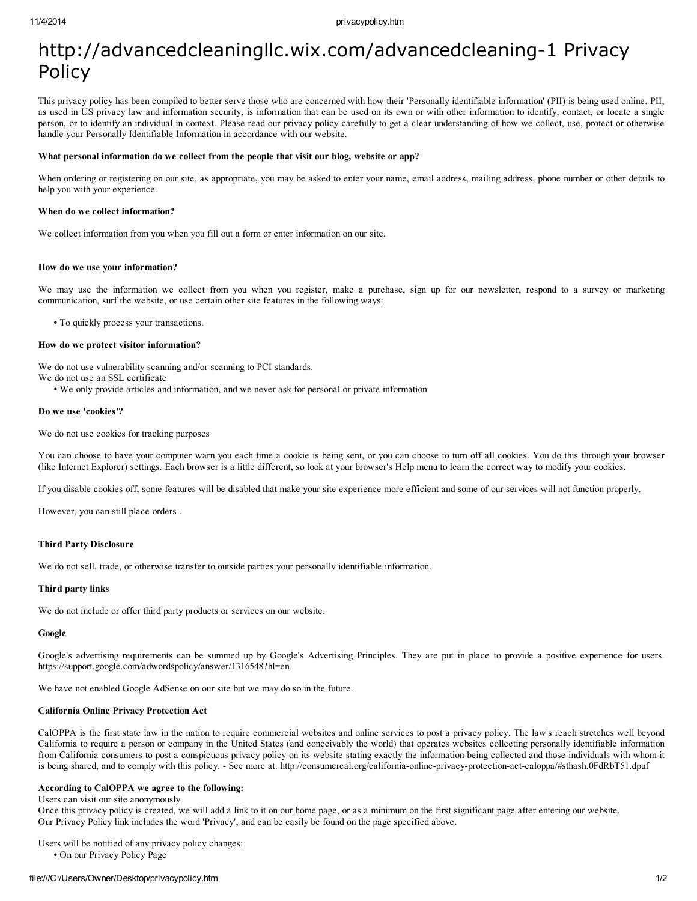# http://advancedcleaningllc.wix.com/advancedcleaning-1 Privacy Policy

This privacy policy has been compiled to better serve those who are concerned with how their 'Personally identifiable information' (PII) is being used online. PII, as used in US privacy law and information security, is information that can be used on its own or with other information to identify, contact, or locate a single person, or to identify an individual in context. Please read our privacy policy carefully to get a clear understanding of how we collect, use, protect or otherwise handle your Personally Identifiable Information in accordance with our website.

# What personal information do we collect from the people that visit our blog, website or app?

When ordering or registering on our site, as appropriate, you may be asked to enter your name, email address, mailing address, phone number or other details to help you with your experience.

# When do we collect information?

We collect information from you when you fill out a form or enter information on our site.

# How do we use your information?

We may use the information we collect from you when you register, make a purchase, sign up for our newsletter, respond to a survey or marketing communication, surf the website, or use certain other site features in the following ways:

• To quickly process your transactions.

# How do we protect visitor information?

We do not use vulnerability scanning and/or scanning to PCI standards.

We do not use an SSL certificate

• We only provide articles and information, and we never ask for personal or private information

# Do we use 'cookies'?

We do not use cookies for tracking purposes

You can choose to have your computer warn you each time a cookie is being sent, or you can choose to turn off all cookies. You do this through your browser (like Internet Explorer) settings. Each browser is a little different, so look at your browser's Help menu to learn the correct way to modify your cookies.

If you disable cookies off, some features will be disabled that make your site experience more efficient and some of our services will not function properly.

However, you can still place orders .

# Third Party Disclosure

We do not sell, trade, or otherwise transfer to outside parties your personally identifiable information.

# Third party links

We do not include or offer third party products or services on our website.

# Google

Google's advertising requirements can be summed up by Google's Advertising Principles. They are put in place to provide a positive experience for users. https://support.google.com/adwordspolicy/answer/1316548?hl=en

We have not enabled Google AdSense on our site but we may do so in the future.

# California Online Privacy Protection Act

CalOPPA is the first state law in the nation to require commercial websites and online services to post a privacy policy. The law's reach stretches well beyond California to require a person or company in the United States (and conceivably the world) that operates websites collecting personally identifiable information from California consumers to post a conspicuous privacy policy on its website stating exactly the information being collected and those individuals with whom it is being shared, and to comply with this policy. - See more at: http://consumercal.org/california-online-privacy-protection-act-caloppa/#sthash.0FdRbT51.dpuf

# According to CalOPPA we agree to the following:

Users can visit our site anonymously

Once this privacy policy is created, we will add a link to it on our home page, or as a minimum on the first significant page after entering our website. Our Privacy Policy link includes the word 'Privacy', and can be easily be found on the page specified above.

Users will be notified of any privacy policy changes:

• On our Privacy Policy Page

# file:///C:/Users/Owner/Desktop/privacypolicy.htm 1/2